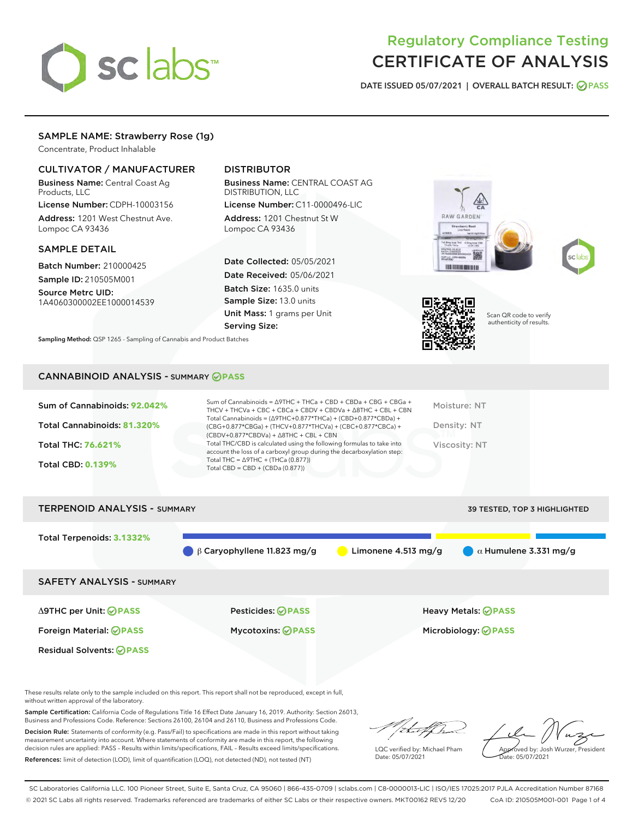# sclabs

# Regulatory Compliance Testing CERTIFICATE OF ANALYSIS

DATE ISSUED 05/07/2021 | OVERALL BATCH RESULT: @ PASS

# SAMPLE NAME: Strawberry Rose (1g)

Concentrate, Product Inhalable

# CULTIVATOR / MANUFACTURER

Business Name: Central Coast Ag Products, LLC

License Number: CDPH-10003156 Address: 1201 West Chestnut Ave. Lompoc CA 93436

#### SAMPLE DETAIL

Batch Number: 210000425 Sample ID: 210505M001

Source Metrc UID: 1A4060300002EE1000014539

# DISTRIBUTOR

Business Name: CENTRAL COAST AG DISTRIBUTION, LLC

License Number: C11-0000496-LIC Address: 1201 Chestnut St W Lompoc CA 93436

Date Collected: 05/05/2021 Date Received: 05/06/2021 Batch Size: 1635.0 units Sample Size: 13.0 units Unit Mass: 1 grams per Unit Serving Size:







Scan QR code to verify authenticity of results.

Sampling Method: QSP 1265 - Sampling of Cannabis and Product Batches

## CANNABINOID ANALYSIS - SUMMARY **PASS**

| Total Cannabinoids = $(\Delta$ 9THC+0.877*THCa) + (CBD+0.877*CBDa) +<br>Total Cannabinoids: 81.320%<br>Density: NT<br>(CBG+0.877*CBGa) + (THCV+0.877*THCVa) + (CBC+0.877*CBCa) +<br>$(CBDV+0.877*CBDVa) + \Delta 8THC + CBL + CBN$<br>Total THC/CBD is calculated using the following formulas to take into<br><b>Total THC: 76.621%</b><br>Viscosity: NT<br>account the loss of a carboxyl group during the decarboxylation step:<br>Total THC = $\triangle$ 9THC + (THCa (0.877))<br><b>Total CBD: 0.139%</b><br>Total CBD = $CBD + (CBDa (0.877))$ | Sum of Cannabinoids: 92.042% | Sum of Cannabinoids = $\triangle$ 9THC + THCa + CBD + CBDa + CBG + CBGa +<br>THCV + THCVa + CBC + CBCa + CBDV + CBDVa + $\Delta$ 8THC + CBL + CBN | Moisture: NT |
|-------------------------------------------------------------------------------------------------------------------------------------------------------------------------------------------------------------------------------------------------------------------------------------------------------------------------------------------------------------------------------------------------------------------------------------------------------------------------------------------------------------------------------------------------------|------------------------------|---------------------------------------------------------------------------------------------------------------------------------------------------|--------------|
|                                                                                                                                                                                                                                                                                                                                                                                                                                                                                                                                                       |                              |                                                                                                                                                   |              |
|                                                                                                                                                                                                                                                                                                                                                                                                                                                                                                                                                       |                              |                                                                                                                                                   |              |
|                                                                                                                                                                                                                                                                                                                                                                                                                                                                                                                                                       |                              |                                                                                                                                                   |              |



These results relate only to the sample included on this report. This report shall not be reproduced, except in full, without written approval of the laboratory.

Sample Certification: California Code of Regulations Title 16 Effect Date January 16, 2019. Authority: Section 26013, Business and Professions Code. Reference: Sections 26100, 26104 and 26110, Business and Professions Code.

Decision Rule: Statements of conformity (e.g. Pass/Fail) to specifications are made in this report without taking measurement uncertainty into account. Where statements of conformity are made in this report, the following decision rules are applied: PASS – Results within limits/specifications, FAIL – Results exceed limits/specifications. References: limit of detection (LOD), limit of quantification (LOQ), not detected (ND), not tested (NT)

that f

LQC verified by: Michael Pham Date: 05/07/2021

Approved by: Josh Wurzer, President ate: 05/07/2021

SC Laboratories California LLC. 100 Pioneer Street, Suite E, Santa Cruz, CA 95060 | 866-435-0709 | sclabs.com | C8-0000013-LIC | ISO/IES 17025:2017 PJLA Accreditation Number 87168 © 2021 SC Labs all rights reserved. Trademarks referenced are trademarks of either SC Labs or their respective owners. MKT00162 REV5 12/20 CoA ID: 210505M001-001 Page 1 of 4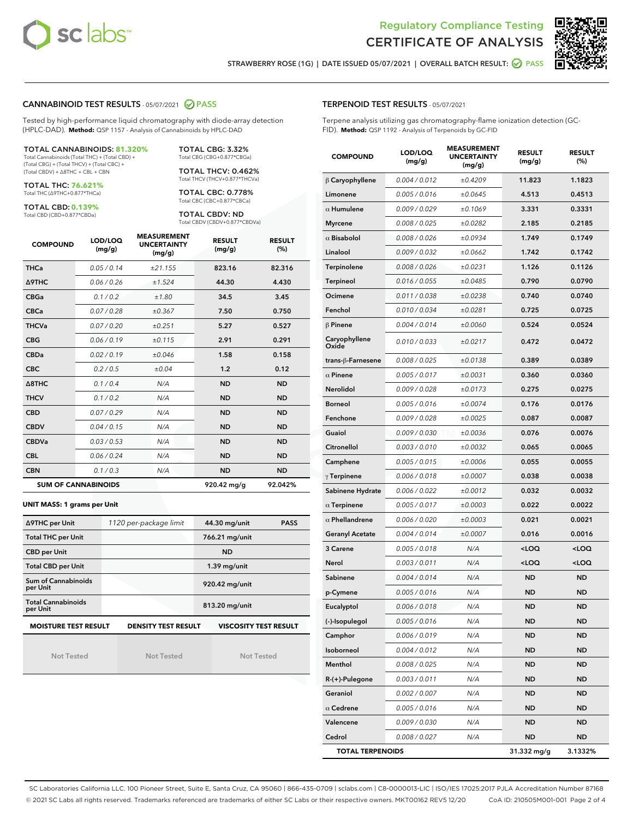



STRAWBERRY ROSE (1G) | DATE ISSUED 05/07/2021 | OVERALL BATCH RESULT: @ PASS

#### CANNABINOID TEST RESULTS - 05/07/2021 2 PASS

Tested by high-performance liquid chromatography with diode-array detection (HPLC-DAD). **Method:** QSP 1157 - Analysis of Cannabinoids by HPLC-DAD

#### TOTAL CANNABINOIDS: **81.320%**

Total Cannabinoids (Total THC) + (Total CBD) + (Total CBG) + (Total THCV) + (Total CBC) + (Total CBDV) + ∆8THC + CBL + CBN

TOTAL THC: **76.621%** Total THC (∆9THC+0.877\*THCa)

TOTAL CBD: **0.139%**

Total CBD (CBD+0.877\*CBDa)

TOTAL CBG: 3.32% Total CBG (CBG+0.877\*CBGa)

TOTAL THCV: 0.462% Total THCV (THCV+0.877\*THCVa)

TOTAL CBC: 0.778% Total CBC (CBC+0.877\*CBCa)

TOTAL CBDV: ND Total CBDV (CBDV+0.877\*CBDVa)

| <b>COMPOUND</b> | LOD/LOQ<br>(mg/g)          | <b>MEASUREMENT</b><br><b>UNCERTAINTY</b><br>(mg/g) | <b>RESULT</b><br>(mg/g) | <b>RESULT</b><br>(%) |
|-----------------|----------------------------|----------------------------------------------------|-------------------------|----------------------|
| <b>THCa</b>     | 0.05/0.14                  | ±21.155                                            | 823.16                  | 82.316               |
| <b>A9THC</b>    | 0.06 / 0.26                | ±1.524                                             | 44.30                   | 4.430                |
| <b>CBGa</b>     | 0.1 / 0.2                  | ±1.80                                              | 34.5                    | 3.45                 |
| <b>CBCa</b>     | 0.07/0.28                  | ±0.367                                             | 7.50                    | 0.750                |
| <b>THCVa</b>    | 0.07/0.20                  | ±0.251                                             | 5.27                    | 0.527                |
| <b>CBG</b>      | 0.06/0.19                  | ±0.115                                             | 2.91                    | 0.291                |
| <b>CBDa</b>     | 0.02/0.19                  | ±0.046                                             | 1.58                    | 0.158                |
| <b>CBC</b>      | 0.2 / 0.5                  | ±0.04                                              | 1.2                     | 0.12                 |
| A8THC           | 0.1/0.4                    | N/A                                                | <b>ND</b>               | <b>ND</b>            |
| <b>THCV</b>     | 0.1/0.2                    | N/A                                                | <b>ND</b>               | <b>ND</b>            |
| <b>CBD</b>      | 0.07/0.29                  | N/A                                                | <b>ND</b>               | <b>ND</b>            |
| <b>CBDV</b>     | 0.04 / 0.15                | N/A                                                | <b>ND</b>               | <b>ND</b>            |
| <b>CBDVa</b>    | 0.03/0.53                  | N/A                                                | <b>ND</b>               | <b>ND</b>            |
| <b>CBL</b>      | 0.06 / 0.24                | N/A                                                | <b>ND</b>               | <b>ND</b>            |
| <b>CBN</b>      | 0.1/0.3                    | N/A                                                | <b>ND</b>               | <b>ND</b>            |
|                 | <b>SUM OF CANNABINOIDS</b> |                                                    | 920.42 mg/g             | 92.042%              |

#### **UNIT MASS: 1 grams per Unit**

| ∆9THC per Unit                                                                            | 1120 per-package limit | 44.30 mg/unit<br><b>PASS</b> |  |  |  |
|-------------------------------------------------------------------------------------------|------------------------|------------------------------|--|--|--|
| <b>Total THC per Unit</b>                                                                 |                        | 766.21 mg/unit               |  |  |  |
| <b>CBD per Unit</b>                                                                       |                        | <b>ND</b>                    |  |  |  |
| <b>Total CBD per Unit</b>                                                                 |                        | $1.39$ mg/unit               |  |  |  |
| Sum of Cannabinoids<br>per Unit                                                           |                        | 920.42 mg/unit               |  |  |  |
| <b>Total Cannabinoids</b><br>per Unit                                                     |                        | 813.20 mg/unit               |  |  |  |
| <b>MOISTURE TEST RESULT</b><br><b>VISCOSITY TEST RESULT</b><br><b>DENSITY TEST RESULT</b> |                        |                              |  |  |  |

Not Tested

Not Tested

Not Tested

#### TERPENOID TEST RESULTS - 05/07/2021

Terpene analysis utilizing gas chromatography-flame ionization detection (GC-FID). **Method:** QSP 1192 - Analysis of Terpenoids by GC-FID

| <b>COMPOUND</b>         | LOD/LOQ<br>(mg/g) | <b>MEASUREMENT</b><br><b>UNCERTAINTY</b><br>(mg/g) | <b>RESULT</b><br>(mg/g)                         | <b>RESULT</b><br>$(\%)$ |
|-------------------------|-------------------|----------------------------------------------------|-------------------------------------------------|-------------------------|
| $\beta$ Caryophyllene   | 0.004 / 0.012     | ±0.4209                                            | 11.823                                          | 1.1823                  |
| Limonene                | 0.005 / 0.016     | ±0.0645                                            | 4.513                                           | 0.4513                  |
| $\alpha$ Humulene       | 0.009 / 0.029     | ±0.1069                                            | 3.331                                           | 0.3331                  |
| <b>Myrcene</b>          | 0.008 / 0.025     | ±0.0282                                            | 2.185                                           | 0.2185                  |
| $\alpha$ Bisabolol      | 0.008 / 0.026     | ±0.0934                                            | 1.749                                           | 0.1749                  |
| Linalool                | 0.009 / 0.032     | ±0.0662                                            | 1.742                                           | 0.1742                  |
| Terpinolene             | 0.008 / 0.026     | ±0.0231                                            | 1.126                                           | 0.1126                  |
| <b>Terpineol</b>        | 0.016 / 0.055     | ±0.0485                                            | 0.790                                           | 0.0790                  |
| Ocimene                 | 0.011 / 0.038     | ±0.0238                                            | 0.740                                           | 0.0740                  |
| Fenchol                 | 0.010 / 0.034     | ±0.0281                                            | 0.725                                           | 0.0725                  |
| $\beta$ Pinene          | 0.004 / 0.014     | ±0.0060                                            | 0.524                                           | 0.0524                  |
| Caryophyllene<br>Oxide  | 0.010 / 0.033     | ±0.0217                                            | 0.472                                           | 0.0472                  |
| trans-β-Farnesene       | 0.008 / 0.025     | ±0.0138                                            | 0.389                                           | 0.0389                  |
| $\alpha$ Pinene         | 0.005 / 0.017     | ±0.0031                                            | 0.360                                           | 0.0360                  |
| Nerolidol               | 0.009 / 0.028     | ±0.0173                                            | 0.275                                           | 0.0275                  |
| <b>Borneol</b>          | 0.005 / 0.016     | ±0.0074                                            | 0.176                                           | 0.0176                  |
| Fenchone                | 0.009 / 0.028     | ±0.0025                                            | 0.087                                           | 0.0087                  |
| Guaiol                  | 0.009 / 0.030     | ±0.0036                                            | 0.076                                           | 0.0076                  |
| Citronellol             | 0.003 / 0.010     | ±0.0032                                            | 0.065                                           | 0.0065                  |
| Camphene                | 0.005 / 0.015     | ±0.0006                                            | 0.055                                           | 0.0055                  |
| $\gamma$ Terpinene      | 0.006 / 0.018     | ±0.0007                                            | 0.038                                           | 0.0038                  |
| Sabinene Hydrate        | 0.006 / 0.022     | ±0.0012                                            | 0.032                                           | 0.0032                  |
| $\alpha$ Terpinene      | 0.005 / 0.017     | ±0.0003                                            | 0.022                                           | 0.0022                  |
| $\alpha$ Phellandrene   | 0.006 / 0.020     | ±0.0003                                            | 0.021                                           | 0.0021                  |
| <b>Geranyl Acetate</b>  | 0.004 / 0.014     | ±0.0007                                            | 0.016                                           | 0.0016                  |
| 3 Carene                | 0.005 / 0.018     | N/A                                                | <loq< th=""><th><loq< th=""></loq<></th></loq<> | <loq< th=""></loq<>     |
| Nerol                   | 0.003 / 0.011     | N/A                                                | <loq< th=""><th><loq< th=""></loq<></th></loq<> | <loq< th=""></loq<>     |
| Sabinene                | 0.004 / 0.014     | N/A                                                | ND                                              | <b>ND</b>               |
| p-Cymene                | 0.005 / 0.016     | N/A                                                | ND                                              | <b>ND</b>               |
| Eucalyptol              | 0.006 / 0.018     | N/A                                                | <b>ND</b>                                       | <b>ND</b>               |
| (-)-Isopulegol          | 0.005 / 0.016     | N/A                                                | ND                                              | ND                      |
| Camphor                 | 0.006 / 0.019     | N/A                                                | ND                                              | <b>ND</b>               |
| Isoborneol              | 0.004 / 0.012     | N/A                                                | ND                                              | ND                      |
| Menthol                 | 0.008 / 0.025     | N/A                                                | ND                                              | <b>ND</b>               |
| R-(+)-Pulegone          | 0.003 / 0.011     | N/A                                                | ND                                              | ND                      |
| Geraniol                | 0.002 / 0.007     | N/A                                                | ND                                              | ND                      |
| $\alpha$ Cedrene        | 0.005 / 0.016     | N/A                                                | ND                                              | ND                      |
| Valencene               | 0.009 / 0.030     | N/A                                                | ND                                              | ND                      |
| Cedrol                  | 0.008 / 0.027     | N/A                                                | ND                                              | <b>ND</b>               |
| <b>TOTAL TERPENOIDS</b> |                   |                                                    | 31.332 mg/g                                     | 3.1332%                 |

SC Laboratories California LLC. 100 Pioneer Street, Suite E, Santa Cruz, CA 95060 | 866-435-0709 | sclabs.com | C8-0000013-LIC | ISO/IES 17025:2017 PJLA Accreditation Number 87168 © 2021 SC Labs all rights reserved. Trademarks referenced are trademarks of either SC Labs or their respective owners. MKT00162 REV5 12/20 CoA ID: 210505M001-001 Page 2 of 4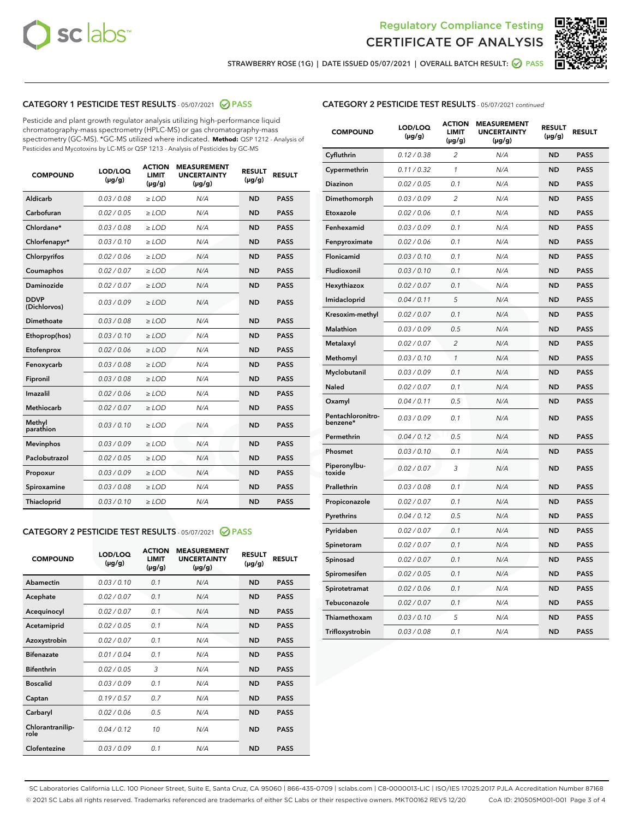



STRAWBERRY ROSE (1G) | DATE ISSUED 05/07/2021 | OVERALL BATCH RESULT: @ PASS

# CATEGORY 1 PESTICIDE TEST RESULTS - 05/07/2021 2 PASS

Pesticide and plant growth regulator analysis utilizing high-performance liquid chromatography-mass spectrometry (HPLC-MS) or gas chromatography-mass spectrometry (GC-MS). \*GC-MS utilized where indicated. **Method:** QSP 1212 - Analysis of Pesticides and Mycotoxins by LC-MS or QSP 1213 - Analysis of Pesticides by GC-MS

| <b>COMPOUND</b>             | LOD/LOQ<br>$(\mu g/g)$ | <b>ACTION</b><br><b>LIMIT</b><br>$(\mu g/g)$ | <b>MEASUREMENT</b><br><b>UNCERTAINTY</b><br>$(\mu g/g)$ | <b>RESULT</b><br>$(\mu g/g)$ | <b>RESULT</b> |
|-----------------------------|------------------------|----------------------------------------------|---------------------------------------------------------|------------------------------|---------------|
| Aldicarb                    | 0.03 / 0.08            | $\ge$ LOD                                    | N/A                                                     | <b>ND</b>                    | <b>PASS</b>   |
| Carbofuran                  | 0.02 / 0.05            | $\ge$ LOD                                    | N/A                                                     | <b>ND</b>                    | <b>PASS</b>   |
| Chlordane*                  | 0.03 / 0.08            | $\ge$ LOD                                    | N/A                                                     | <b>ND</b>                    | <b>PASS</b>   |
| Chlorfenapyr*               | 0.03/0.10              | $\ge$ LOD                                    | N/A                                                     | <b>ND</b>                    | <b>PASS</b>   |
| Chlorpyrifos                | 0.02 / 0.06            | $\ge$ LOD                                    | N/A                                                     | <b>ND</b>                    | <b>PASS</b>   |
| Coumaphos                   | 0.02 / 0.07            | $\ge$ LOD                                    | N/A                                                     | <b>ND</b>                    | <b>PASS</b>   |
| Daminozide                  | 0.02 / 0.07            | $\ge$ LOD                                    | N/A                                                     | <b>ND</b>                    | <b>PASS</b>   |
| <b>DDVP</b><br>(Dichlorvos) | 0.03/0.09              | $\ge$ LOD                                    | N/A                                                     | <b>ND</b>                    | <b>PASS</b>   |
| Dimethoate                  | 0.03 / 0.08            | $\ge$ LOD                                    | N/A                                                     | <b>ND</b>                    | <b>PASS</b>   |
| Ethoprop(hos)               | 0.03/0.10              | $\ge$ LOD                                    | N/A                                                     | <b>ND</b>                    | <b>PASS</b>   |
| Etofenprox                  | 0.02/0.06              | $>$ LOD                                      | N/A                                                     | <b>ND</b>                    | <b>PASS</b>   |
| Fenoxycarb                  | 0.03 / 0.08            | $>$ LOD                                      | N/A                                                     | <b>ND</b>                    | <b>PASS</b>   |
| Fipronil                    | 0.03 / 0.08            | $>$ LOD                                      | N/A                                                     | <b>ND</b>                    | <b>PASS</b>   |
| Imazalil                    | 0.02 / 0.06            | $\ge$ LOD                                    | N/A                                                     | <b>ND</b>                    | <b>PASS</b>   |
| <b>Methiocarb</b>           | 0.02 / 0.07            | $\ge$ LOD                                    | N/A                                                     | <b>ND</b>                    | <b>PASS</b>   |
| Methyl<br>parathion         | 0.03/0.10              | $\ge$ LOD                                    | N/A                                                     | <b>ND</b>                    | <b>PASS</b>   |
| <b>Mevinphos</b>            | 0.03/0.09              | $\ge$ LOD                                    | N/A                                                     | <b>ND</b>                    | <b>PASS</b>   |
| Paclobutrazol               | 0.02 / 0.05            | $\ge$ LOD                                    | N/A                                                     | <b>ND</b>                    | <b>PASS</b>   |
| Propoxur                    | 0.03/0.09              | $\ge$ LOD                                    | N/A                                                     | <b>ND</b>                    | <b>PASS</b>   |
| Spiroxamine                 | 0.03 / 0.08            | $\ge$ LOD                                    | N/A                                                     | <b>ND</b>                    | <b>PASS</b>   |
| Thiacloprid                 | 0.03/0.10              | $\ge$ LOD                                    | N/A                                                     | <b>ND</b>                    | <b>PASS</b>   |

#### CATEGORY 2 PESTICIDE TEST RESULTS - 05/07/2021 @ PASS

| <b>COMPOUND</b>          | LOD/LOQ<br>$(\mu g/g)$ | <b>ACTION</b><br><b>LIMIT</b><br>$(\mu g/g)$ | <b>MEASUREMENT</b><br><b>UNCERTAINTY</b><br>$(\mu g/g)$ | <b>RESULT</b><br>$(\mu g/g)$ | <b>RESULT</b> |
|--------------------------|------------------------|----------------------------------------------|---------------------------------------------------------|------------------------------|---------------|
| Abamectin                | 0.03/0.10              | 0.1                                          | N/A                                                     | <b>ND</b>                    | <b>PASS</b>   |
| Acephate                 | 0.02/0.07              | 0.1                                          | N/A                                                     | <b>ND</b>                    | <b>PASS</b>   |
| Acequinocyl              | 0.02/0.07              | 0.1                                          | N/A                                                     | <b>ND</b>                    | <b>PASS</b>   |
| Acetamiprid              | 0.02/0.05              | 0.1                                          | N/A                                                     | <b>ND</b>                    | <b>PASS</b>   |
| Azoxystrobin             | 0.02/0.07              | 0.1                                          | N/A                                                     | <b>ND</b>                    | <b>PASS</b>   |
| <b>Bifenazate</b>        | 0.01/0.04              | 0.1                                          | N/A                                                     | <b>ND</b>                    | <b>PASS</b>   |
| <b>Bifenthrin</b>        | 0.02 / 0.05            | 3                                            | N/A                                                     | <b>ND</b>                    | <b>PASS</b>   |
| <b>Boscalid</b>          | 0.03/0.09              | 0.1                                          | N/A                                                     | <b>ND</b>                    | <b>PASS</b>   |
| Captan                   | 0.19/0.57              | 0.7                                          | N/A                                                     | <b>ND</b>                    | <b>PASS</b>   |
| Carbaryl                 | 0.02/0.06              | 0.5                                          | N/A                                                     | <b>ND</b>                    | <b>PASS</b>   |
| Chlorantranilip-<br>role | 0.04/0.12              | 10                                           | N/A                                                     | <b>ND</b>                    | <b>PASS</b>   |
| Clofentezine             | 0.03/0.09              | 0.1                                          | N/A                                                     | <b>ND</b>                    | <b>PASS</b>   |

| <b>CATEGORY 2 PESTICIDE TEST RESULTS</b> - 05/07/2021 continued |  |
|-----------------------------------------------------------------|--|
|                                                                 |  |

| <b>COMPOUND</b>               | LOD/LOQ<br>(µg/g) | <b>ACTION</b><br><b>LIMIT</b><br>(µg/g) | <b>MEASUREMENT</b><br><b>UNCERTAINTY</b><br>$(\mu g/g)$ | <b>RESULT</b><br>(µg/g) | <b>RESULT</b> |
|-------------------------------|-------------------|-----------------------------------------|---------------------------------------------------------|-------------------------|---------------|
| Cyfluthrin                    | 0.12 / 0.38       | $\overline{c}$                          | N/A                                                     | <b>ND</b>               | <b>PASS</b>   |
| Cypermethrin                  | 0.11 / 0.32       | $\mathcal{I}$                           | N/A                                                     | <b>ND</b>               | <b>PASS</b>   |
| <b>Diazinon</b>               | 0.02 / 0.05       | 0.1                                     | N/A                                                     | <b>ND</b>               | <b>PASS</b>   |
| Dimethomorph                  | 0.03 / 0.09       | 2                                       | N/A                                                     | <b>ND</b>               | <b>PASS</b>   |
| Etoxazole                     | 0.02 / 0.06       | 0.1                                     | N/A                                                     | <b>ND</b>               | <b>PASS</b>   |
| Fenhexamid                    | 0.03 / 0.09       | 0.1                                     | N/A                                                     | <b>ND</b>               | <b>PASS</b>   |
| Fenpyroximate                 | 0.02 / 0.06       | 0.1                                     | N/A                                                     | <b>ND</b>               | <b>PASS</b>   |
| Flonicamid                    | 0.03 / 0.10       | 0.1                                     | N/A                                                     | <b>ND</b>               | <b>PASS</b>   |
| Fludioxonil                   | 0.03/0.10         | 0.1                                     | N/A                                                     | <b>ND</b>               | <b>PASS</b>   |
| Hexythiazox                   | 0.02 / 0.07       | 0.1                                     | N/A                                                     | <b>ND</b>               | <b>PASS</b>   |
| Imidacloprid                  | 0.04 / 0.11       | 5                                       | N/A                                                     | <b>ND</b>               | <b>PASS</b>   |
| Kresoxim-methyl               | 0.02 / 0.07       | 0.1                                     | N/A                                                     | <b>ND</b>               | <b>PASS</b>   |
| <b>Malathion</b>              | 0.03 / 0.09       | 0.5                                     | N/A                                                     | <b>ND</b>               | <b>PASS</b>   |
| Metalaxyl                     | 0.02 / 0.07       | $\overline{c}$                          | N/A                                                     | <b>ND</b>               | <b>PASS</b>   |
| Methomyl                      | 0.03 / 0.10       | 1                                       | N/A                                                     | <b>ND</b>               | <b>PASS</b>   |
| Myclobutanil                  | 0.03 / 0.09       | 0.1                                     | N/A                                                     | <b>ND</b>               | <b>PASS</b>   |
| Naled                         | 0.02 / 0.07       | 0.1                                     | N/A                                                     | <b>ND</b>               | <b>PASS</b>   |
| Oxamyl                        | 0.04 / 0.11       | 0.5                                     | N/A                                                     | <b>ND</b>               | <b>PASS</b>   |
| Pentachloronitro-<br>benzene* | 0.03 / 0.09       | 0.1                                     | N/A                                                     | <b>ND</b>               | <b>PASS</b>   |
| Permethrin                    | 0.04 / 0.12       | 0.5                                     | N/A                                                     | <b>ND</b>               | <b>PASS</b>   |
| Phosmet                       | 0.03 / 0.10       | 0.1                                     | N/A                                                     | <b>ND</b>               | <b>PASS</b>   |
| Piperonylbu-<br>toxide        | 0.02 / 0.07       | 3                                       | N/A                                                     | <b>ND</b>               | <b>PASS</b>   |
| Prallethrin                   | 0.03 / 0.08       | 0.1                                     | N/A                                                     | <b>ND</b>               | <b>PASS</b>   |
| Propiconazole                 | 0.02 / 0.07       | 0.1                                     | N/A                                                     | <b>ND</b>               | <b>PASS</b>   |
| Pyrethrins                    | 0.04 / 0.12       | 0.5                                     | N/A                                                     | <b>ND</b>               | <b>PASS</b>   |
| Pyridaben                     | 0.02 / 0.07       | 0.1                                     | N/A                                                     | <b>ND</b>               | <b>PASS</b>   |
| Spinetoram                    | 0.02 / 0.07       | 0.1                                     | N/A                                                     | <b>ND</b>               | <b>PASS</b>   |
| Spinosad                      | 0.02 / 0.07       | 0.1                                     | N/A                                                     | <b>ND</b>               | <b>PASS</b>   |
| Spiromesifen                  | 0.02 / 0.05       | 0.1                                     | N/A                                                     | <b>ND</b>               | <b>PASS</b>   |
| Spirotetramat                 | 0.02 / 0.06       | 0.1                                     | N/A                                                     | <b>ND</b>               | <b>PASS</b>   |
| Tebuconazole                  | 0.02 / 0.07       | 0.1                                     | N/A                                                     | <b>ND</b>               | <b>PASS</b>   |
| Thiamethoxam                  | 0.03 / 0.10       | 5                                       | N/A                                                     | <b>ND</b>               | <b>PASS</b>   |
| Trifloxystrobin               | 0.03 / 0.08       | 0.1                                     | N/A                                                     | <b>ND</b>               | <b>PASS</b>   |

SC Laboratories California LLC. 100 Pioneer Street, Suite E, Santa Cruz, CA 95060 | 866-435-0709 | sclabs.com | C8-0000013-LIC | ISO/IES 17025:2017 PJLA Accreditation Number 87168 © 2021 SC Labs all rights reserved. Trademarks referenced are trademarks of either SC Labs or their respective owners. MKT00162 REV5 12/20 CoA ID: 210505M001-001 Page 3 of 4